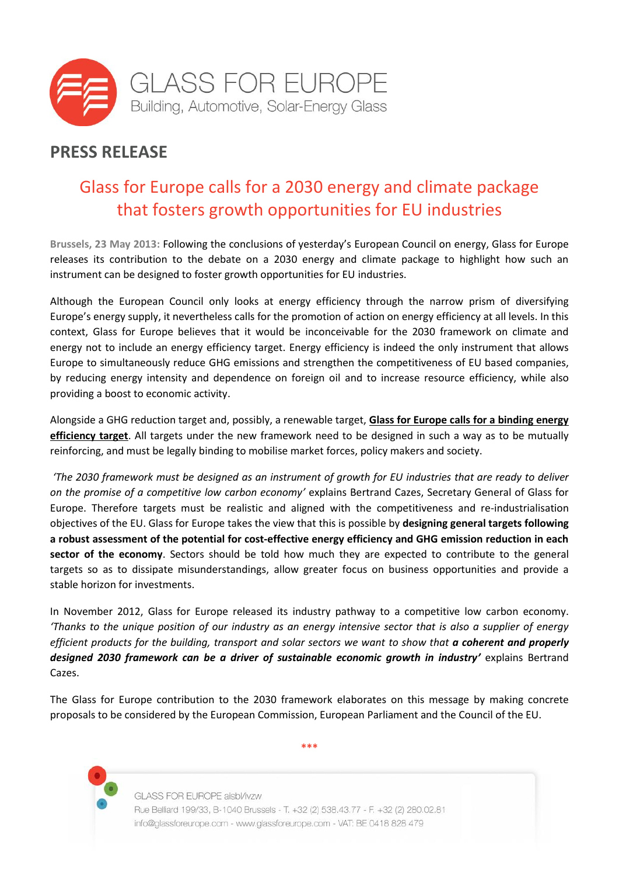

## **PRESS RELEASE**

## Glass for Europe calls for a 2030 energy and climate package that fosters growth opportunities for EU industries

**Brussels, 23 May 2013:** Following the conclusions of yesterday's European Council on energy, Glass for Europe releases its contribution to the debate on a 2030 energy and climate package to highlight how such an instrument can be designed to foster growth opportunities for EU industries.

Although the European Council only looks at energy efficiency through the narrow prism of diversifying Europe's energy supply, it nevertheless calls for the promotion of action on energy efficiency at all levels. In this context, Glass for Europe believes that it would be inconceivable for the 2030 framework on climate and energy not to include an energy efficiency target. Energy efficiency is indeed the only instrument that allows Europe to simultaneously reduce GHG emissions and strengthen the competitiveness of EU based companies, by reducing energy intensity and dependence on foreign oil and to increase resource efficiency, while also providing a boost to economic activity.

Alongside a GHG reduction target and, possibly, a renewable target, **Glass for Europe calls for a binding energy efficiency target**. All targets under the new framework need to be designed in such a way as to be mutually reinforcing, and must be legally binding to mobilise market forces, policy makers and society.

*'The 2030 framework must be designed as an instrument of growth for EU industries that are ready to deliver on the promise of a competitive low carbon economy'* explains Bertrand Cazes, Secretary General of Glass for Europe. Therefore targets must be realistic and aligned with the competitiveness and re-industrialisation objectives of the EU. Glass for Europe takes the view that this is possible by **designing general targets following a robust assessment of the potential for cost-effective energy efficiency and GHG emission reduction in each sector of the economy**. Sectors should be told how much they are expected to contribute to the general targets so as to dissipate misunderstandings, allow greater focus on business opportunities and provide a stable horizon for investments.

In November 2012, Glass for Europe released its industry pathway to a competitive low carbon economy. *'Thanks to the unique position of our industry as an energy intensive sector that is also a supplier of energy efficient products for the building, transport and solar sectors we want to show that a coherent and properly designed 2030 framework can be a driver of sustainable economic growth in industry'* explains Bertrand Cazes.

The Glass for Europe contribution to the 2030 framework elaborates on this message by making concrete proposals to be considered by the European Commission, European Parliament and the Council of the EU.

**\*\*\***